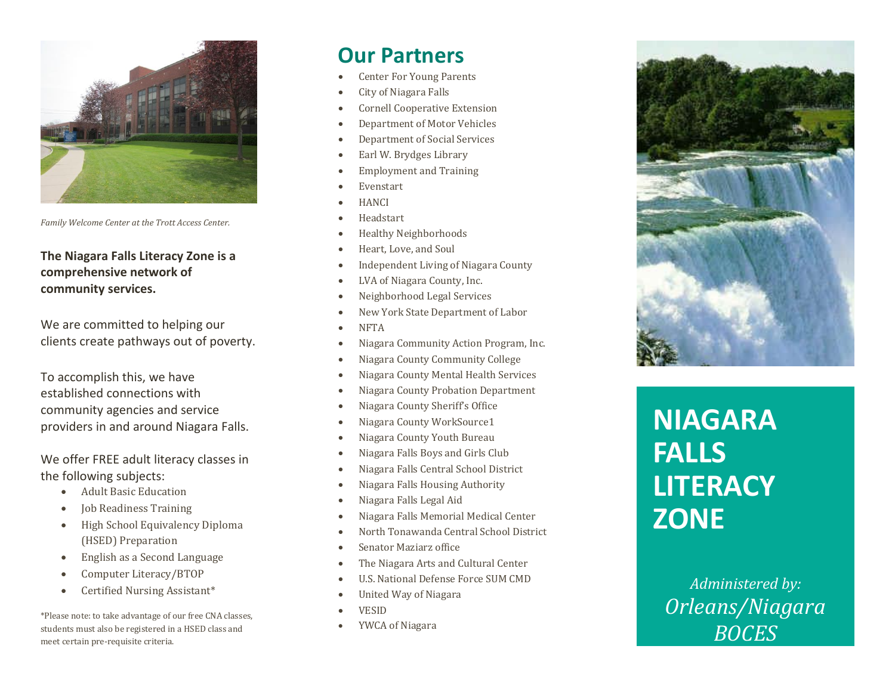

*Family Welcome Center at the Trott Access Center.* 

#### **The Niagara Falls Literacy Zone is a comprehensive network of community services.**

We are committed to helping our clients create pathways out of poverty.

To accomplish this, we have established connections with community agencies and service providers in and around Niagara Falls.

We offer FREE adult literacy classes in the following subjects:

- Adult Basic Education
- Job Readiness Training
- High School Equivalency Diploma (HSED) Preparation
- English as a Second Language
- Computer Literacy/BTOP
- Certified Nursing Assistant\*

\*Please note: to take advantage of our free CNA classes, students must also be registered in a HSED class and meet certain pre -requisite criteria.

# **Our Partners**

- Center For Young Parents
- City of Niagara Falls
- Cornell Cooperative Extension
- Department of Motor Vehicles
- Department of Social Services
- Earl W. Brydges Library
- Employment and Training
- Evenstart
- **HANCI**
- Headstart
- Healthy Neighborhoods
- Heart, Love, and Soul
- Independent Living of Niagara County
- LVA of Niagara County, Inc.
- Neighborhood Legal Services
- New York State Department of Labor
- NFTA
- Niagara Community Action Program, Inc.
- Niagara County Community College
- Niagara County Mental Health Services
- Niagara County Probation Department
- Niagara County Sheriff's Office
- Niagara County WorkSource1
- Niagara County Youth Bureau
- Niagara Falls Boys and Girls Club
- Niagara Falls Central School District
- Niagara Falls Housing Authority
- Niagara Falls Legal Aid
- Niagara Falls Memorial Medical Center
- North Tonawanda Central School District
- Senator Maziarz office
- The Niagara Arts and Cultural Center
- U.S. National Defense Force SUM CMD
- United Way of Niagara
- VESID
- YWCA of Niagara



# **NIAGARA FALLS LITERACY ZONE**

*Administered by: Orleans/Niagara BOCES*